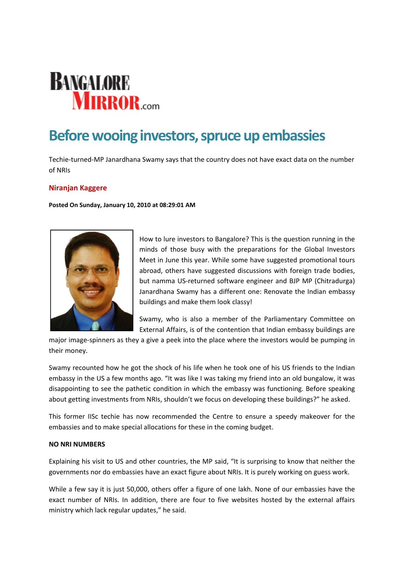# **BANGALORE MIRROR.com**

# **Before wooing investors, spruce up embassies**

Techie-turned-MP Janardhana Swamy says that the country does not have exact data on the number of NRIs

## **Niranjan Kaggere**

**Posted On Sunday, January 10, 2010 at 08:29:01 AM**



How to lure investors to Bangalore? This is the question running in the minds of those busy with the preparations for the Global Investors Meet in June this year. While some have suggested promotional tours abroad, others have suggested discussions with foreign trade bodies, but namma US‐returned software engineer and BJP MP (Chitradurga) Janardhana Swamy has a different one: Renovate the Indian embassy buildings and make them look classy!

Swamy, who is also a member of the Parliamentary Committee on External Affairs, is of the contention that Indian embassy buildings are

major image‐spinners as they a give a peek into the place where the investors would be pumping in their money.

Swamy recounted how he got the shock of his life when he took one of his US friends to the Indian embassy in the US a few months ago. "It was like I was taking my friend into an old bungalow, it was disappointing to see the pathetic condition in which the embassy was functioning. Before speaking about getting investments from NRIs, shouldn't we focus on developing these buildings?" he asked.

This former IISc techie has now recommended the Centre to ensure a speedy makeover for the embassies and to make special allocations for these in the coming budget.

### **NO NRI NUMBERS**

Explaining his visit to US and other countries, the MP said, "It is surprising to know that neither the governments nor do embassies have an exact figure about NRIs. It is purely working on guess work.

While a few say it is just 50,000, others offer a figure of one lakh. None of our embassies have the exact number of NRIs. In addition, there are four to five websites hosted by the external affairs ministry which lack regular updates," he said.